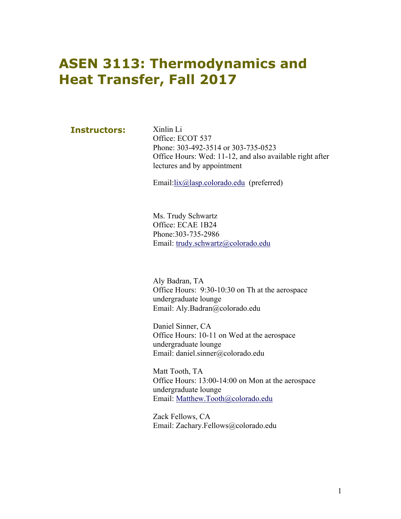## **ASEN 3113: Thermodynamics and Heat Transfer, Fall 2017**

#### **Instructors:** Xinlin Li

Office: ECOT 537 Phone: 303-492-3514 or 303-735-0523 Office Hours: Wed: 11-12, and also available right after lectures and by appointment

Email:lix@lasp.colorado.edu (preferred)

Ms. Trudy Schwartz Office: ECAE 1B24 Phone:303-735-2986 Email: trudy.schwartz@colorado.edu

Aly Badran, TA Office Hours: 9:30-10:30 on Th at the aerospace undergraduate lounge Email: Aly.Badran@colorado.edu

Daniel Sinner, CA Office Hours: 10-11 on Wed at the aerospace undergraduate lounge Email: daniel.sinner@colorado.edu

Matt Tooth, TA Office Hours: 13:00-14:00 on Mon at the aerospace undergraduate lounge Email: Matthew.Tooth@colorado.edu

Zack Fellows, CA Email: Zachary.Fellows@colorado.edu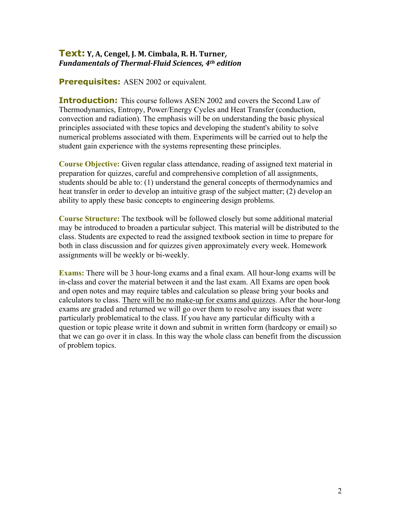### **Text:** Y, A, Cengel, J. M. Cimbala, R. H. Turner, *Fundamentals of Thermal-Fluid Sciences, 4th edition*

**Prerequisites:** ASEN 2002 or equivalent.

**Introduction:** This course follows ASEN 2002 and covers the Second Law of Thermodynamics, Entropy, Power/Energy Cycles and Heat Transfer (conduction, convection and radiation). The emphasis will be on understanding the basic physical principles associated with these topics and developing the student's ability to solve numerical problems associated with them. Experiments will be carried out to help the student gain experience with the systems representing these principles.

**Course Objective:** Given regular class attendance, reading of assigned text material in preparation for quizzes, careful and comprehensive completion of all assignments, students should be able to: (1) understand the general concepts of thermodynamics and heat transfer in order to develop an intuitive grasp of the subject matter; (2) develop an ability to apply these basic concepts to engineering design problems.

**Course Structure:** The textbook will be followed closely but some additional material may be introduced to broaden a particular subject. This material will be distributed to the class. Students are expected to read the assigned textbook section in time to prepare for both in class discussion and for quizzes given approximately every week. Homework assignments will be weekly or bi-weekly.

**Exams:** There will be 3 hour-long exams and a final exam. All hour-long exams will be in-class and cover the material between it and the last exam. All Exams are open book and open notes and may require tables and calculation so please bring your books and calculators to class. There will be no make-up for exams and quizzes. After the hour-long exams are graded and returned we will go over them to resolve any issues that were particularly problematical to the class. If you have any particular difficulty with a question or topic please write it down and submit in written form (hardcopy or email) so that we can go over it in class. In this way the whole class can benefit from the discussion of problem topics.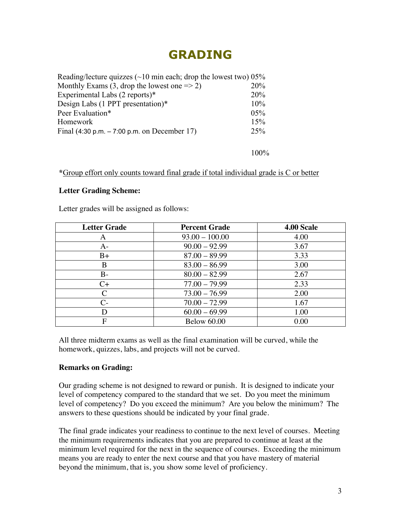## **GRADING**

| Reading/lecture quizzes $(\sim 10 \text{ min each};$ drop the lowest two) 05% |     |
|-------------------------------------------------------------------------------|-----|
| Monthly Exams $(3, \text{drop the lowest one} = > 2)$                         | 20% |
| Experimental Labs $(2$ reports)*                                              | 20% |
| Design Labs (1 PPT presentation)*                                             | 10% |
| Peer Evaluation*                                                              | 05% |
| Homework                                                                      | 15% |
| Final $(4:30 \text{ p.m.} - 7:00 \text{ p.m.} \text{ on December 17})$        | 25% |
|                                                                               |     |

100%

**\***Group effort only counts toward final grade if total individual grade is C or better

#### **Letter Grading Scheme:**

Letter grades will be assigned as follows:

| <b>Letter Grade</b> | <b>Percent Grade</b> | 4.00 Scale |
|---------------------|----------------------|------------|
| А                   | $93.00 - 100.00$     | 4.00       |
| $A-$                | $90.00 - 92.99$      | 3.67       |
| $B+$                | $87.00 - 89.99$      | 3.33       |
| B                   | $83.00 - 86.99$      | 3.00       |
| $B -$               | $80.00 - 82.99$      | 2.67       |
| $C+$                | $77.00 - 79.99$      | 2.33       |
|                     | $73.00 - 76.99$      | 2.00       |
| $C-$                | $70.00 - 72.99$      | 1.67       |
|                     | $60.00 - 69.99$      | 1.00       |
| F                   | <b>Below 60.00</b>   | 0.00       |

All three midterm exams as well as the final examination will be curved, while the homework, quizzes, labs, and projects will not be curved.

#### **Remarks on Grading:**

Our grading scheme is not designed to reward or punish. It is designed to indicate your level of competency compared to the standard that we set. Do you meet the minimum level of competency? Do you exceed the minimum? Are you below the minimum? The answers to these questions should be indicated by your final grade.

The final grade indicates your readiness to continue to the next level of courses. Meeting the minimum requirements indicates that you are prepared to continue at least at the minimum level required for the next in the sequence of courses. Exceeding the minimum means you are ready to enter the next course and that you have mastery of material beyond the minimum, that is, you show some level of proficiency.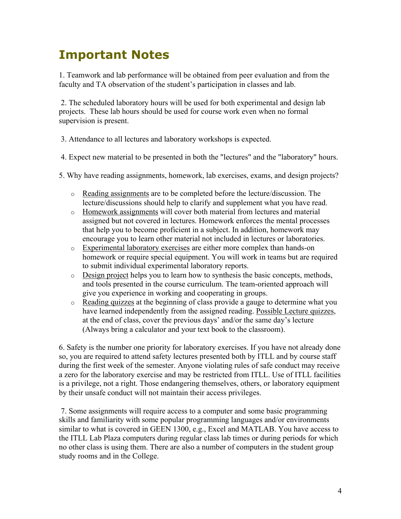# **Important Notes**

1. Teamwork and lab performance will be obtained from peer evaluation and from the faculty and TA observation of the student's participation in classes and lab.

2. The scheduled laboratory hours will be used for both experimental and design lab projects. These lab hours should be used for course work even when no formal supervision is present.

3. Attendance to all lectures and laboratory workshops is expected.

- 4. Expect new material to be presented in both the "lectures" and the "laboratory" hours.
- 5. Why have reading assignments, homework, lab exercises, exams, and design projects?
	- $\circ$  Reading assignments are to be completed before the lecture/discussion. The lecture/discussions should help to clarify and supplement what you have read.
	- o Homework assignments will cover both material from lectures and material assigned but not covered in lectures. Homework enforces the mental processes that help you to become proficient in a subject. In addition, homework may encourage you to learn other material not included in lectures or laboratories.
	- o Experimental laboratory exercises are either more complex than hands-on homework or require special equipment. You will work in teams but are required to submit individual experimental laboratory reports.
	- o Design project helps you to learn how to synthesis the basic concepts, methods, and tools presented in the course curriculum. The team-oriented approach will give you experience in working and cooperating in groups.
	- o Reading quizzes at the beginning of class provide a gauge to determine what you have learned independently from the assigned reading. Possible Lecture quizzes, at the end of class, cover the previous days' and/or the same day's lecture (Always bring a calculator and your text book to the classroom).

6. Safety is the number one priority for laboratory exercises. If you have not already done so, you are required to attend safety lectures presented both by ITLL and by course staff during the first week of the semester. Anyone violating rules of safe conduct may receive a zero for the laboratory exercise and may be restricted from ITLL. Use of ITLL facilities is a privilege, not a right. Those endangering themselves, others, or laboratory equipment by their unsafe conduct will not maintain their access privileges.

7. Some assignments will require access to a computer and some basic programming skills and familiarity with some popular programming languages and/or environments similar to what is covered in GEEN 1300, e.g., Excel and MATLAB. You have access to the ITLL Lab Plaza computers during regular class lab times or during periods for which no other class is using them. There are also a number of computers in the student group study rooms and in the College.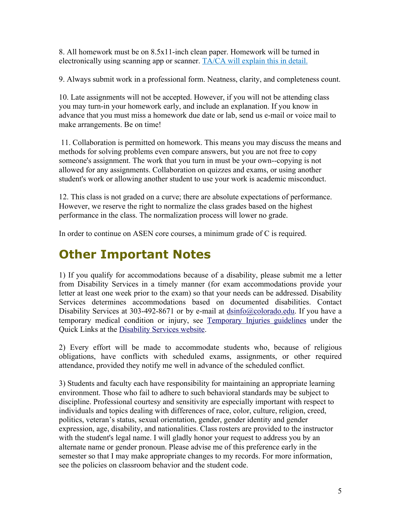8. All homework must be on 8.5x11-inch clean paper. Homework will be turned in electronically using scanning app or scanner. TA/CA will explain this in detail.

9. Always submit work in a professional form. Neatness, clarity, and completeness count.

10. Late assignments will not be accepted. However, if you will not be attending class you may turn-in your homework early, and include an explanation. If you know in advance that you must miss a homework due date or lab, send us e-mail or voice mail to make arrangements. Be on time!

11. Collaboration is permitted on homework. This means you may discuss the means and methods for solving problems even compare answers, but you are not free to copy someone's assignment. The work that you turn in must be your own--copying is not allowed for any assignments. Collaboration on quizzes and exams, or using another student's work or allowing another student to use your work is academic misconduct.

12. This class is not graded on a curve; there are absolute expectations of performance. However, we reserve the right to normalize the class grades based on the highest performance in the class. The normalization process will lower no grade.

In order to continue on ASEN core courses, a minimum grade of C is required.

## **Other Important Notes**

1) If you qualify for accommodations because of a disability, please submit me a letter from Disability Services in a timely manner (for exam accommodations provide your letter at least one week prior to the exam) so that your needs can be addressed. Disability Services determines accommodations based on documented disabilities. Contact Disability Services at 303-492-8671 or by e-mail at  $\text{d} \sin \theta$  (acolorado.edu. If you have a temporary medical condition or injury, see Temporary Injuries guidelines under the Quick Links at the Disability Services website.

2) Every effort will be made to accommodate students who, because of religious obligations, have conflicts with scheduled exams, assignments, or other required attendance, provided they notify me well in advance of the scheduled conflict.

3) Students and faculty each have responsibility for maintaining an appropriate learning environment. Those who fail to adhere to such behavioral standards may be subject to discipline. Professional courtesy and sensitivity are especially important with respect to individuals and topics dealing with differences of race, color, culture, religion, creed, politics, veteran's status, sexual orientation, gender, gender identity and gender expression, age, disability, and nationalities. Class rosters are provided to the instructor with the student's legal name. I will gladly honor your request to address you by an alternate name or gender pronoun. Please advise me of this preference early in the semester so that I may make appropriate changes to my records. For more information, see the policies on classroom behavior and the student code.